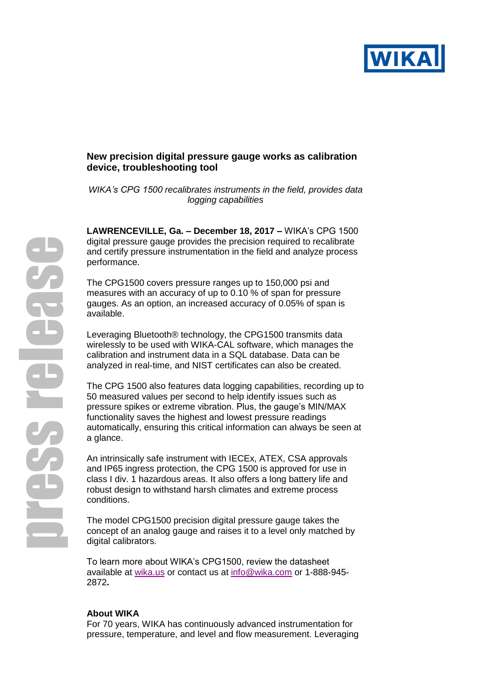

## **New precision digital pressure gauge works as calibration device, troubleshooting tool**

*WIKA's CPG 1500 recalibrates instruments in the field, provides data logging capabilities*

**LAWRENCEVILLE, Ga. – December 18, 2017 –** WIKA's CPG 1500 digital pressure gauge provides the precision required to recalibrate and certify pressure instrumentation in the field and analyze process performance.

The CPG1500 covers pressure ranges up to 150,000 psi and measures with an accuracy of up to 0.10 % of span for pressure gauges. As an option, an increased accuracy of 0.05% of span is available.

Leveraging Bluetooth® technology, the CPG1500 transmits data wirelessly to be used with WIKA-CAL software, which manages the calibration and instrument data in a SQL database. Data can be analyzed in real-time, and NIST certificates can also be created.

The CPG 1500 also features data logging capabilities, recording up to 50 measured values per second to help identify issues such as pressure spikes or extreme vibration. Plus, the gauge's MIN/MAX functionality saves the highest and lowest pressure readings automatically, ensuring this critical information can always be seen at a glance.

An intrinsically safe instrument with IECEx, ATEX, CSA approvals and IP65 ingress protection, the CPG 1500 is approved for use in class I div. 1 hazardous areas. It also offers a long battery life and robust design to withstand harsh climates and extreme process conditions.

The model CPG1500 precision digital pressure gauge takes the concept of an analog gauge and raises it to a level only matched by digital calibrators.

To learn more about WIKA's CPG1500, review the datasheet available at [wika.us](http://www.wika.us/cpg1500_en_us.WIKA) or contact us at [info@wika.com](mailto:info@wika.com) or 1-888-945- 2872**.**

## **About WIKA**

For 70 years, WIKA has continuously advanced instrumentation for pressure, temperature, and level and flow measurement. Leveraging